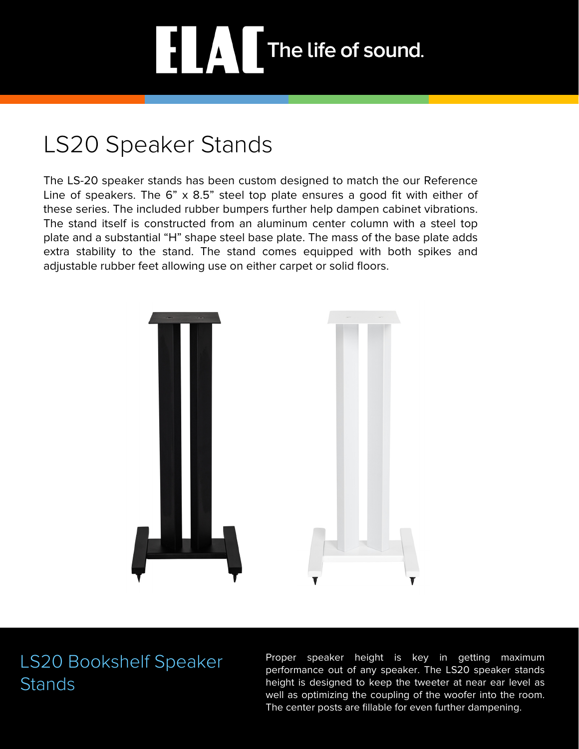# The life of sound.

## LS20 Speaker Stands

The LS-20 speaker stands has been custom designed to match the our Reference Line of speakers. The 6" x 8.5" steel top plate ensures a good fit with either of these series. The included rubber bumpers further help dampen cabinet vibrations. The stand itself is constructed from an aluminum center column with a steel top plate and a substantial "H" shape steel base plate. The mass of the base plate adds extra stability to the stand. The stand comes equipped with both spikes and adjustable rubber feet allowing use on either carpet or solid floors.



### LS20 Bookshelf Speaker **Stands**

Proper speaker height is key in getting maximum performance out of any speaker. The LS20 speaker stands height is designed to keep the tweeter at near ear level as well as optimizing the coupling of the woofer into the room. The center posts are fillable for even further dampening.